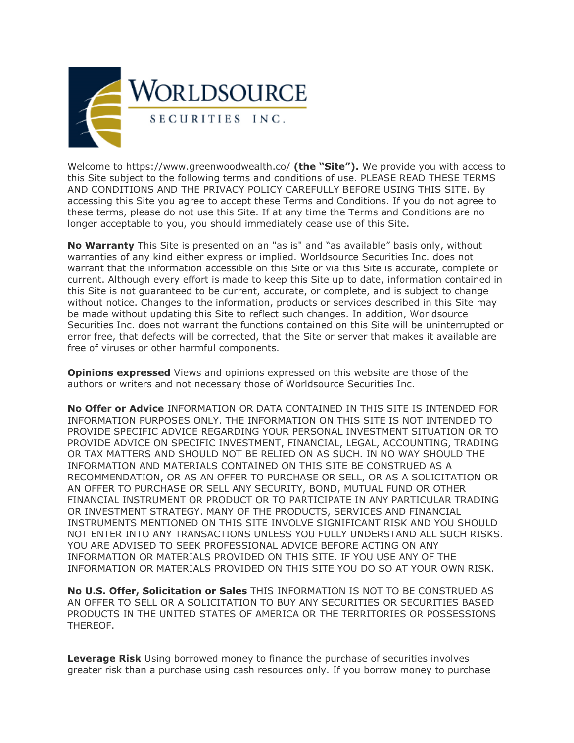

Welcome to https://www.greenwoodwealth.co/ **(the "Site").** We provide you with access to this Site subject to the following terms and conditions of use. PLEASE READ THESE TERMS AND CONDITIONS AND THE PRIVACY POLICY CAREFULLY BEFORE USING THIS SITE. By accessing this Site you agree to accept these Terms and Conditions. If you do not agree to these terms, please do not use this Site. If at any time the Terms and Conditions are no longer acceptable to you, you should immediately cease use of this Site.

**No Warranty** This Site is presented on an "as is" and "as available" basis only, without warranties of any kind either express or implied. Worldsource Securities Inc. does not warrant that the information accessible on this Site or via this Site is accurate, complete or current. Although every effort is made to keep this Site up to date, information contained in this Site is not guaranteed to be current, accurate, or complete, and is subject to change without notice. Changes to the information, products or services described in this Site may be made without updating this Site to reflect such changes. In addition, Worldsource Securities Inc. does not warrant the functions contained on this Site will be uninterrupted or error free, that defects will be corrected, that the Site or server that makes it available are free of viruses or other harmful components.

**Opinions expressed** Views and opinions expressed on this website are those of the authors or writers and not necessary those of Worldsource Securities Inc.

**No Offer or Advice** INFORMATION OR DATA CONTAINED IN THIS SITE IS INTENDED FOR INFORMATION PURPOSES ONLY. THE INFORMATION ON THIS SITE IS NOT INTENDED TO PROVIDE SPECIFIC ADVICE REGARDING YOUR PERSONAL INVESTMENT SITUATION OR TO PROVIDE ADVICE ON SPECIFIC INVESTMENT, FINANCIAL, LEGAL, ACCOUNTING, TRADING OR TAX MATTERS AND SHOULD NOT BE RELIED ON AS SUCH. IN NO WAY SHOULD THE INFORMATION AND MATERIALS CONTAINED ON THIS SITE BE CONSTRUED AS A RECOMMENDATION, OR AS AN OFFER TO PURCHASE OR SELL, OR AS A SOLICITATION OR AN OFFER TO PURCHASE OR SELL ANY SECURITY, BOND, MUTUAL FUND OR OTHER FINANCIAL INSTRUMENT OR PRODUCT OR TO PARTICIPATE IN ANY PARTICULAR TRADING OR INVESTMENT STRATEGY. MANY OF THE PRODUCTS, SERVICES AND FINANCIAL INSTRUMENTS MENTIONED ON THIS SITE INVOLVE SIGNIFICANT RISK AND YOU SHOULD NOT ENTER INTO ANY TRANSACTIONS UNLESS YOU FULLY UNDERSTAND ALL SUCH RISKS. YOU ARE ADVISED TO SEEK PROFESSIONAL ADVICE BEFORE ACTING ON ANY INFORMATION OR MATERIALS PROVIDED ON THIS SITE. IF YOU USE ANY OF THE INFORMATION OR MATERIALS PROVIDED ON THIS SITE YOU DO SO AT YOUR OWN RISK.

**No U.S. Offer, Solicitation or Sales** THIS INFORMATION IS NOT TO BE CONSTRUED AS AN OFFER TO SELL OR A SOLICITATION TO BUY ANY SECURITIES OR SECURITIES BASED PRODUCTS IN THE UNITED STATES OF AMERICA OR THE TERRITORIES OR POSSESSIONS THEREOF.

**Leverage Risk** Using borrowed money to finance the purchase of securities involves greater risk than a purchase using cash resources only. If you borrow money to purchase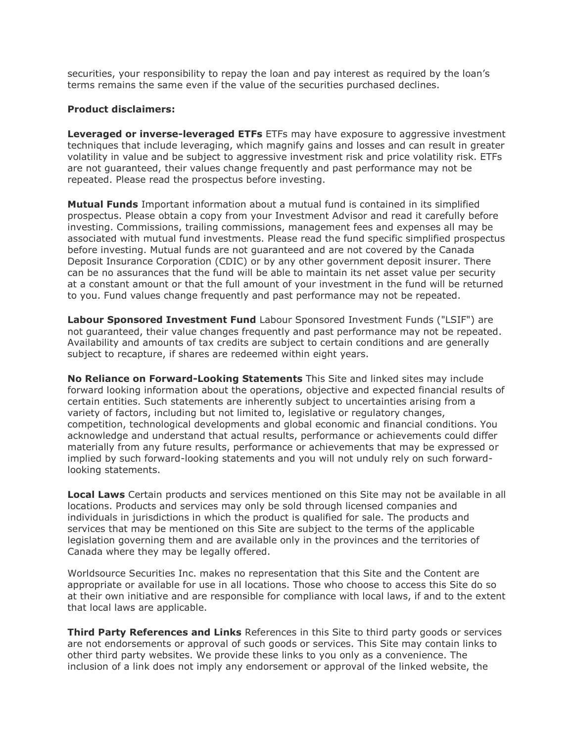securities, your responsibility to repay the loan and pay interest as required by the loan's terms remains the same even if the value of the securities purchased declines.

## **Product disclaimers:**

**Leveraged or inverse-leveraged ETFs** ETFs may have exposure to aggressive investment techniques that include leveraging, which magnify gains and losses and can result in greater volatility in value and be subject to aggressive investment risk and price volatility risk. ETFs are not guaranteed, their values change frequently and past performance may not be repeated. Please read the prospectus before investing.

**Mutual Funds** Important information about a mutual fund is contained in its simplified prospectus. Please obtain a copy from your Investment Advisor and read it carefully before investing. Commissions, trailing commissions, management fees and expenses all may be associated with mutual fund investments. Please read the fund specific simplified prospectus before investing. Mutual funds are not guaranteed and are not covered by the Canada Deposit Insurance Corporation (CDIC) or by any other government deposit insurer. There can be no assurances that the fund will be able to maintain its net asset value per security at a constant amount or that the full amount of your investment in the fund will be returned to you. Fund values change frequently and past performance may not be repeated.

**Labour Sponsored Investment Fund** Labour Sponsored Investment Funds ("LSIF") are not guaranteed, their value changes frequently and past performance may not be repeated. Availability and amounts of tax credits are subject to certain conditions and are generally subject to recapture, if shares are redeemed within eight years.

**No Reliance on Forward-Looking Statements** This Site and linked sites may include forward looking information about the operations, objective and expected financial results of certain entities. Such statements are inherently subject to uncertainties arising from a variety of factors, including but not limited to, legislative or regulatory changes, competition, technological developments and global economic and financial conditions. You acknowledge and understand that actual results, performance or achievements could differ materially from any future results, performance or achievements that may be expressed or implied by such forward-looking statements and you will not unduly rely on such forwardlooking statements.

**Local Laws** Certain products and services mentioned on this Site may not be available in all locations. Products and services may only be sold through licensed companies and individuals in jurisdictions in which the product is qualified for sale. The products and services that may be mentioned on this Site are subject to the terms of the applicable legislation governing them and are available only in the provinces and the territories of Canada where they may be legally offered.

Worldsource Securities Inc. makes no representation that this Site and the Content are appropriate or available for use in all locations. Those who choose to access this Site do so at their own initiative and are responsible for compliance with local laws, if and to the extent that local laws are applicable.

**Third Party References and Links** References in this Site to third party goods or services are not endorsements or approval of such goods or services. This Site may contain links to other third party websites. We provide these links to you only as a convenience. The inclusion of a link does not imply any endorsement or approval of the linked website, the